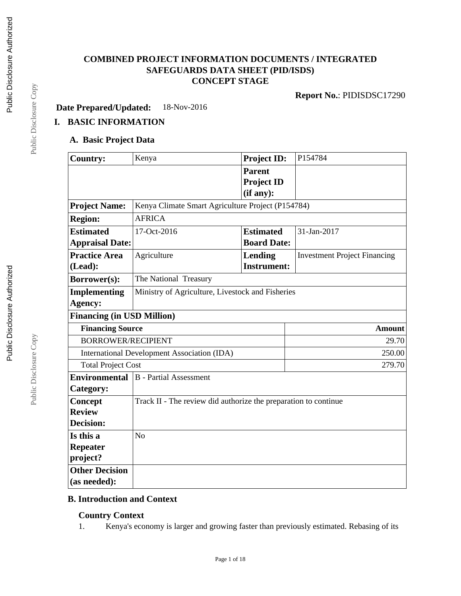## **COMBINED PROJECT INFORMATION DOCUMENTS / INTEGRATED SAFEGUARDS DATA SHEET (PID/ISDS) CONCEPT STAGE**

**Report No.**: PIDISDSC17290

**Date Prepared/Updated:** 18-Nov-2016

# **I. BASIC INFORMATION**

## **A. Basic Project Data**

| <b>Country:</b>                   | Kenya                                                           | <b>Project ID:</b>                              | P154784                             |  |  |
|-----------------------------------|-----------------------------------------------------------------|-------------------------------------------------|-------------------------------------|--|--|
|                                   |                                                                 | <b>Parent</b><br><b>Project ID</b><br>(if any): |                                     |  |  |
| <b>Project Name:</b>              | Kenya Climate Smart Agriculture Project (P154784)               |                                                 |                                     |  |  |
| <b>Region:</b>                    | <b>AFRICA</b>                                                   |                                                 |                                     |  |  |
| <b>Estimated</b>                  | 17-Oct-2016                                                     | 31-Jan-2017<br><b>Estimated</b>                 |                                     |  |  |
| <b>Appraisal Date:</b>            |                                                                 | <b>Board Date:</b>                              |                                     |  |  |
| <b>Practice Area</b>              | Agriculture                                                     | Lending                                         | <b>Investment Project Financing</b> |  |  |
| (Lead):                           |                                                                 | <b>Instrument:</b>                              |                                     |  |  |
| Borrower(s):                      | The National Treasury                                           |                                                 |                                     |  |  |
| <b>Implementing</b>               | Ministry of Agriculture, Livestock and Fisheries                |                                                 |                                     |  |  |
| Agency:                           |                                                                 |                                                 |                                     |  |  |
| <b>Financing (in USD Million)</b> |                                                                 |                                                 |                                     |  |  |
| <b>Financing Source</b>           |                                                                 |                                                 | <b>Amount</b>                       |  |  |
| <b>BORROWER/RECIPIENT</b>         |                                                                 |                                                 | 29.70                               |  |  |
|                                   | International Development Association (IDA)                     |                                                 | 250.00                              |  |  |
| <b>Total Project Cost</b>         |                                                                 |                                                 | 279.70                              |  |  |
| <b>Environmental</b>              | <b>B</b> - Partial Assessment                                   |                                                 |                                     |  |  |
| Category:                         |                                                                 |                                                 |                                     |  |  |
| Concept                           | Track II - The review did authorize the preparation to continue |                                                 |                                     |  |  |
| <b>Review</b>                     |                                                                 |                                                 |                                     |  |  |
| <b>Decision:</b>                  |                                                                 |                                                 |                                     |  |  |
| Is this a                         | N <sub>o</sub>                                                  |                                                 |                                     |  |  |
| Repeater                          |                                                                 |                                                 |                                     |  |  |
| project?                          |                                                                 |                                                 |                                     |  |  |
| <b>Other Decision</b>             |                                                                 |                                                 |                                     |  |  |
| (as needed):                      |                                                                 |                                                 |                                     |  |  |

## **B. Introduction and Context**

## **Country Context**

1. Kenya's economy is larger and growing faster than previously estimated. Rebasing of its

Page 1 of 18

Public Disclosure Copy Public Disclosure Copy

Public Disclosure Copy

Public Disclosure Copy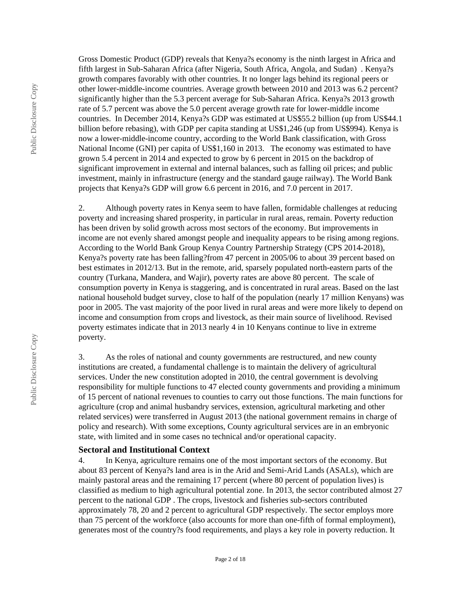Gross Domestic Product (GDP) reveals that Kenya?s economy is the ninth largest in Africa and fifth largest in Sub-Saharan Africa (after Nigeria, South Africa, Angola, and Sudan) . Kenya?s growth compares favorably with other countries. It no longer lags behind its regional peers or other lower-middle-income countries. Average growth between 2010 and 2013 was 6.2 percent? significantly higher than the 5.3 percent average for Sub-Saharan Africa. Kenya?s 2013 growth rate of 5.7 percent was above the 5.0 percent average growth rate for lower-middle income countries. In December 2014, Kenya?s GDP was estimated at US\$55.2 billion (up from US\$44.1 billion before rebasing), with GDP per capita standing at US\$1,246 (up from US\$994). Kenya is now a lower-middle-income country, according to the World Bank classification, with Gross National Income (GNI) per capita of US\$1,160 in 2013. The economy was estimated to have grown 5.4 percent in 2014 and expected to grow by 6 percent in 2015 on the backdrop of significant improvement in external and internal balances, such as falling oil prices; and public investment, mainly in infrastructure (energy and the standard gauge railway). The World Bank projects that Kenya?s GDP will grow 6.6 percent in 2016, and 7.0 percent in 2017.

2. Although poverty rates in Kenya seem to have fallen, formidable challenges at reducing poverty and increasing shared prosperity, in particular in rural areas, remain. Poverty reduction has been driven by solid growth across most sectors of the economy. But improvements in income are not evenly shared amongst people and inequality appears to be rising among regions. According to the World Bank Group Kenya Country Partnership Strategy (CPS 2014-2018), Kenya?s poverty rate has been falling?from 47 percent in 2005/06 to about 39 percent based on best estimates in 2012/13. But in the remote, arid, sparsely populated north-eastern parts of the country (Turkana, Mandera, and Wajir), poverty rates are above 80 percent. The scale of consumption poverty in Kenya is staggering, and is concentrated in rural areas. Based on the last national household budget survey, close to half of the population (nearly 17 million Kenyans) was poor in 2005. The vast majority of the poor lived in rural areas and were more likely to depend on income and consumption from crops and livestock, as their main source of livelihood. Revised poverty estimates indicate that in 2013 nearly 4 in 10 Kenyans continue to live in extreme poverty.

3. As the roles of national and county governments are restructured, and new county institutions are created, a fundamental challenge is to maintain the delivery of agricultural services. Under the new constitution adopted in 2010, the central government is devolving responsibility for multiple functions to 47 elected county governments and providing a minimum of 15 percent of national revenues to counties to carry out those functions. The main functions for agriculture (crop and animal husbandry services, extension, agricultural marketing and other related services) were transferred in August 2013 (the national government remains in charge of policy and research). With some exceptions, County agricultural services are in an embryonic state, with limited and in some cases no technical and/or operational capacity.

#### **Sectoral and Institutional Context**

4. In Kenya, agriculture remains one of the most important sectors of the economy. But about 83 percent of Kenya?s land area is in the Arid and Semi-Arid Lands (ASALs), which are mainly pastoral areas and the remaining 17 percent (where 80 percent of population lives) is classified as medium to high agricultural potential zone. In 2013, the sector contributed almost 27 percent to the national GDP . The crops, livestock and fisheries sub-sectors contributed approximately 78, 20 and 2 percent to agricultural GDP respectively. The sector employs more than 75 percent of the workforce (also accounts for more than one-fifth of formal employment), generates most of the country?s food requirements, and plays a key role in poverty reduction. It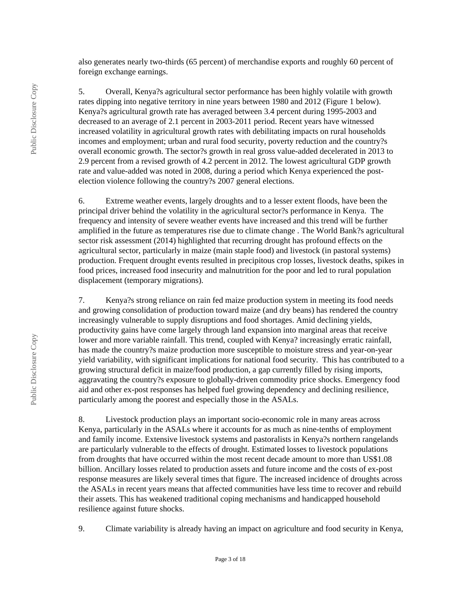also generates nearly two-thirds (65 percent) of merchandise exports and roughly 60 percent of foreign exchange earnings.

5. Overall, Kenya?s agricultural sector performance has been highly volatile with growth rates dipping into negative territory in nine years between 1980 and 2012 (Figure 1 below). Kenya?s agricultural growth rate has averaged between 3.4 percent during 1995-2003 and decreased to an average of 2.1 percent in 2003-2011 period. Recent years have witnessed increased volatility in agricultural growth rates with debilitating impacts on rural households incomes and employment; urban and rural food security, poverty reduction and the country?s overall economic growth. The sector?s growth in real gross value-added decelerated in 2013 to 2.9 percent from a revised growth of 4.2 percent in 2012. The lowest agricultural GDP growth rate and value-added was noted in 2008, during a period which Kenya experienced the postelection violence following the country?s 2007 general elections.

6. Extreme weather events, largely droughts and to a lesser extent floods, have been the principal driver behind the volatility in the agricultural sector?s performance in Kenya. The frequency and intensity of severe weather events have increased and this trend will be further amplified in the future as temperatures rise due to climate change . The World Bank?s agricultural sector risk assessment (2014) highlighted that recurring drought has profound effects on the agricultural sector, particularly in maize (main staple food) and livestock (in pastoral systems) production. Frequent drought events resulted in precipitous crop losses, livestock deaths, spikes in food prices, increased food insecurity and malnutrition for the poor and led to rural population displacement (temporary migrations).

7. Kenya?s strong reliance on rain fed maize production system in meeting its food needs and growing consolidation of production toward maize (and dry beans) has rendered the country increasingly vulnerable to supply disruptions and food shortages. Amid declining yields, productivity gains have come largely through land expansion into marginal areas that receive lower and more variable rainfall. This trend, coupled with Kenya? increasingly erratic rainfall, has made the country?s maize production more susceptible to moisture stress and year-on-year yield variability, with significant implications for national food security. This has contributed to a growing structural deficit in maize/food production, a gap currently filled by rising imports, aggravating the country?s exposure to globally-driven commodity price shocks. Emergency food aid and other ex-post responses has helped fuel growing dependency and declining resilience, particularly among the poorest and especially those in the ASALs.

8. Livestock production plays an important socio-economic role in many areas across Kenya, particularly in the ASALs where it accounts for as much as nine-tenths of employment and family income. Extensive livestock systems and pastoralists in Kenya?s northern rangelands are particularly vulnerable to the effects of drought. Estimated losses to livestock populations from droughts that have occurred within the most recent decade amount to more than US\$1.08 billion. Ancillary losses related to production assets and future income and the costs of ex-post response measures are likely several times that figure. The increased incidence of droughts across the ASALs in recent years means that affected communities have less time to recover and rebuild their assets. This has weakened traditional coping mechanisms and handicapped household resilience against future shocks.

9. Climate variability is already having an impact on agriculture and food security in Kenya,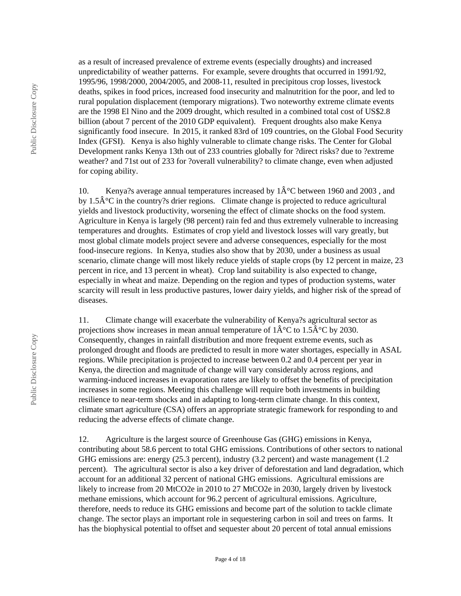Public Disclosure Copy

for coping ability.

diseases.

10. Kenya?s average annual temperatures increased by  $1\hat{A}^{\circ}C$  between 1960 and 2003, and by 1.5 $\hat{A}^{\circ}C$  in the country?s drier regions. Climate change is projected to reduce agricultural yields and livestock productivity, worsening the effect of climate shocks on the food system. Agriculture in Kenya is largely (98 percent) rain fed and thus extremely vulnerable to increasing temperatures and droughts. Estimates of crop yield and livestock losses will vary greatly, but most global climate models project severe and adverse consequences, especially for the most food-insecure regions. In Kenya, studies also show that by 2030, under a business as usual scenario, climate change will most likely reduce yields of staple crops (by 12 percent in maize, 23 percent in rice, and 13 percent in wheat). Crop land suitability is also expected to change, especially in wheat and maize. Depending on the region and types of production systems, water scarcity will result in less productive pastures, lower dairy yields, and higher risk of the spread of

as a result of increased prevalence of extreme events (especially droughts) and increased unpredictability of weather patterns. For example, severe droughts that occurred in 1991/92, 1995/96, 1998/2000, 2004/2005, and 2008-11, resulted in precipitous crop losses, livestock deaths, spikes in food prices, increased food insecurity and malnutrition for the poor, and led to rural population displacement (temporary migrations). Two noteworthy extreme climate events are the 1998 El Nino and the 2009 drought, which resulted in a combined total cost of US\$2.8 billion (about 7 percent of the 2010 GDP equivalent). Frequent droughts also make Kenya significantly food insecure. In 2015, it ranked 83rd of 109 countries, on the Global Food Security Index (GFSI). Kenya is also highly vulnerable to climate change risks. The Center for Global Development ranks Kenya 13th out of 233 countries globally for ?direct risks? due to ?extreme weather? and 71st out of 233 for ?overall vulnerability? to climate change, even when adjusted

11. Climate change will exacerbate the vulnerability of Kenya?s agricultural sector as projections show increases in mean annual temperature of  $1\hat{A}^{\circ}C$  to  $1.5\hat{A}^{\circ}C$  by 2030. Consequently, changes in rainfall distribution and more frequent extreme events, such as prolonged drought and floods are predicted to result in more water shortages, especially in ASAL regions. While precipitation is projected to increase between 0.2 and 0.4 percent per year in Kenya, the direction and magnitude of change will vary considerably across regions, and warming-induced increases in evaporation rates are likely to offset the benefits of precipitation increases in some regions. Meeting this challenge will require both investments in building resilience to near-term shocks and in adapting to long-term climate change. In this context, climate smart agriculture (CSA) offers an appropriate strategic framework for responding to and reducing the adverse effects of climate change.

12. Agriculture is the largest source of Greenhouse Gas (GHG) emissions in Kenya, contributing about 58.6 percent to total GHG emissions. Contributions of other sectors to national GHG emissions are: energy (25.3 percent), industry (3.2 percent) and waste management (1.2 percent). The agricultural sector is also a key driver of deforestation and land degradation, which account for an additional 32 percent of national GHG emissions. Agricultural emissions are likely to increase from 20 MtCO2e in 2010 to 27 MtCO2e in 2030, largely driven by livestock methane emissions, which account for 96.2 percent of agricultural emissions. Agriculture, therefore, needs to reduce its GHG emissions and become part of the solution to tackle climate change. The sector plays an important role in sequestering carbon in soil and trees on farms. It has the biophysical potential to offset and sequester about 20 percent of total annual emissions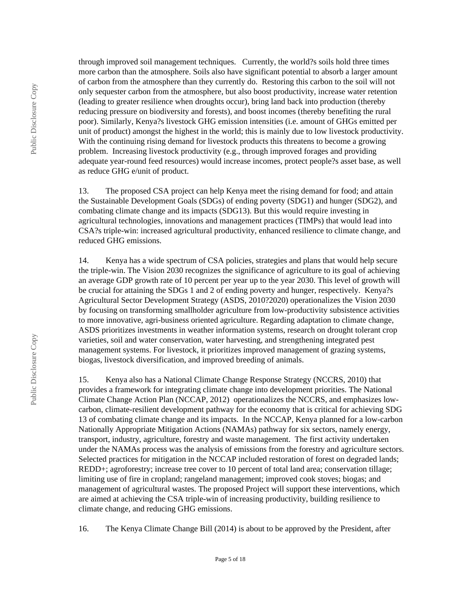through improved soil management techniques. Currently, the world?s soils hold three times more carbon than the atmosphere. Soils also have significant potential to absorb a larger amount of carbon from the atmosphere than they currently do. Restoring this carbon to the soil will not only sequester carbon from the atmosphere, but also boost productivity, increase water retention (leading to greater resilience when droughts occur), bring land back into production (thereby reducing pressure on biodiversity and forests), and boost incomes (thereby benefiting the rural poor). Similarly, Kenya?s livestock GHG emission intensities (i.e. amount of GHGs emitted per unit of product) amongst the highest in the world; this is mainly due to low livestock productivity. With the continuing rising demand for livestock products this threatens to become a growing problem. Increasing livestock productivity (e.g., through improved forages and providing adequate year-round feed resources) would increase incomes, protect people?s asset base, as well as reduce GHG e/unit of product.

13. The proposed CSA project can help Kenya meet the rising demand for food; and attain the Sustainable Development Goals (SDGs) of ending poverty (SDG1) and hunger (SDG2), and combating climate change and its impacts (SDG13). But this would require investing in agricultural technologies, innovations and management practices (TIMPs) that would lead into CSA?s triple-win: increased agricultural productivity, enhanced resilience to climate change, and reduced GHG emissions.

14. Kenya has a wide spectrum of CSA policies, strategies and plans that would help secure the triple-win. The Vision 2030 recognizes the significance of agriculture to its goal of achieving an average GDP growth rate of 10 percent per year up to the year 2030. This level of growth will be crucial for attaining the SDGs 1 and 2 of ending poverty and hunger, respectively. Kenya?s Agricultural Sector Development Strategy (ASDS, 2010?2020) operationalizes the Vision 2030 by focusing on transforming smallholder agriculture from low-productivity subsistence activities to more innovative, agri-business oriented agriculture. Regarding adaptation to climate change, ASDS prioritizes investments in weather information systems, research on drought tolerant crop varieties, soil and water conservation, water harvesting, and strengthening integrated pest management systems. For livestock, it prioritizes improved management of grazing systems, biogas, livestock diversification, and improved breeding of animals.

15. Kenya also has a National Climate Change Response Strategy (NCCRS, 2010) that provides a framework for integrating climate change into development priorities. The National Climate Change Action Plan (NCCAP, 2012) operationalizes the NCCRS, and emphasizes lowcarbon, climate-resilient development pathway for the economy that is critical for achieving SDG 13 of combating climate change and its impacts. In the NCCAP, Kenya planned for a low-carbon Nationally Appropriate Mitigation Actions (NAMAs) pathway for six sectors, namely energy, transport, industry, agriculture, forestry and waste management. The first activity undertaken under the NAMAs process was the analysis of emissions from the forestry and agriculture sectors. Selected practices for mitigation in the NCCAP included restoration of forest on degraded lands; REDD+; agroforestry; increase tree cover to 10 percent of total land area; conservation tillage; limiting use of fire in cropland; rangeland management; improved cook stoves; biogas; and management of agricultural wastes. The proposed Project will support these interventions, which are aimed at achieving the CSA triple-win of increasing productivity, building resilience to climate change, and reducing GHG emissions.

16. The Kenya Climate Change Bill (2014) is about to be approved by the President, after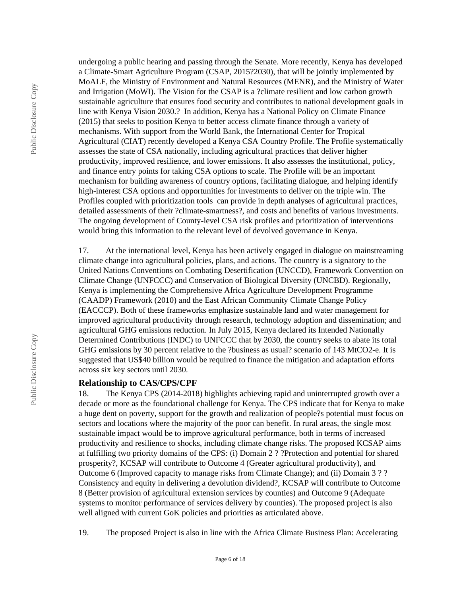undergoing a public hearing and passing through the Senate. More recently, Kenya has developed a Climate-Smart Agriculture Program (CSAP, 2015?2030), that will be jointly implemented by MoALF, the Ministry of Environment and Natural Resources (MENR), and the Ministry of Water and Irrigation (MoWI). The Vision for the CSAP is a ?climate resilient and low carbon growth sustainable agriculture that ensures food security and contributes to national development goals in line with Kenya Vision 2030.? In addition, Kenya has a National Policy on Climate Finance (2015) that seeks to position Kenya to better access climate finance through a variety of mechanisms. With support from the World Bank, the International Center for Tropical Agricultural (CIAT) recently developed a Kenya CSA Country Profile. The Profile systematically assesses the state of CSA nationally, including agricultural practices that deliver higher productivity, improved resilience, and lower emissions. It also assesses the institutional, policy, and finance entry points for taking CSA options to scale. The Profile will be an important mechanism for building awareness of country options, facilitating dialogue, and helping identify high-interest CSA options and opportunities for investments to deliver on the triple win. The Profiles coupled with prioritization tools can provide in depth analyses of agricultural practices, detailed assessments of their ?climate-smartness?, and costs and benefits of various investments. The ongoing development of County-level CSA risk profiles and prioritization of interventions would bring this information to the relevant level of devolved governance in Kenya.

17. At the international level, Kenya has been actively engaged in dialogue on mainstreaming climate change into agricultural policies, plans, and actions. The country is a signatory to the United Nations Conventions on Combating Desertification (UNCCD), Framework Convention on Climate Change (UNFCCC) and Conservation of Biological Diversity (UNCBD). Regionally, Kenya is implementing the Comprehensive Africa Agriculture Development Programme (CAADP) Framework (2010) and the East African Community Climate Change Policy (EACCCP). Both of these frameworks emphasize sustainable land and water management for improved agricultural productivity through research, technology adoption and dissemination; and agricultural GHG emissions reduction. In July 2015, Kenya declared its Intended Nationally Determined Contributions (INDC) to UNFCCC that by 2030, the country seeks to abate its total GHG emissions by 30 percent relative to the ?business as usual? scenario of 143 MtCO2-e. It is suggested that US\$40 billion would be required to finance the mitigation and adaptation efforts across six key sectors until 2030.

#### **Relationship to CAS/CPS/CPF**

18. The Kenya CPS (2014-2018) highlights achieving rapid and uninterrupted growth over a decade or more as the foundational challenge for Kenya. The CPS indicate that for Kenya to make a huge dent on poverty, support for the growth and realization of people?s potential must focus on sectors and locations where the majority of the poor can benefit. In rural areas, the single most sustainable impact would be to improve agricultural performance, both in terms of increased productivity and resilience to shocks, including climate change risks. The proposed KCSAP aims at fulfilling two priority domains of the CPS: (i) Domain 2 ? ?Protection and potential for shared prosperity?, KCSAP will contribute to Outcome 4 (Greater agricultural productivity), and Outcome 6 (Improved capacity to manage risks from Climate Change); and (ii) Domain 3 ? ? Consistency and equity in delivering a devolution dividend?, KCSAP will contribute to Outcome 8 (Better provision of agricultural extension services by counties) and Outcome 9 (Adequate systems to monitor performance of services delivery by counties). The proposed project is also well aligned with current GoK policies and priorities as articulated above.

19. The proposed Project is also in line with the Africa Climate Business Plan: Accelerating

Public Disclosure Copy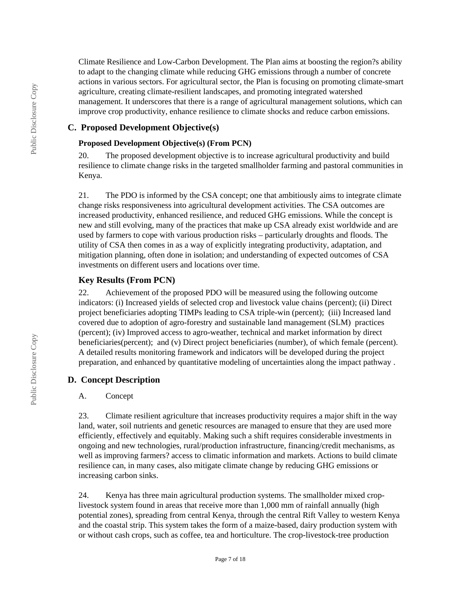Climate Resilience and Low-Carbon Development. The Plan aims at boosting the region?s ability to adapt to the changing climate while reducing GHG emissions through a number of concrete actions in various sectors. For agricultural sector, the Plan is focusing on promoting climate-smart agriculture, creating climate-resilient landscapes, and promoting integrated watershed management. It underscores that there is a range of agricultural management solutions, which can improve crop productivity, enhance resilience to climate shocks and reduce carbon emissions.

### **C. Proposed Development Objective(s)**

### **Proposed Development Objective(s) (From PCN)**

20. The proposed development objective is to increase agricultural productivity and build resilience to climate change risks in the targeted smallholder farming and pastoral communities in Kenya.

21. The PDO is informed by the CSA concept; one that ambitiously aims to integrate climate change risks responsiveness into agricultural development activities. The CSA outcomes are increased productivity, enhanced resilience, and reduced GHG emissions. While the concept is new and still evolving, many of the practices that make up CSA already exist worldwide and are used by farmers to cope with various production risks – particularly droughts and floods. The utility of CSA then comes in as a way of explicitly integrating productivity, adaptation, and mitigation planning, often done in isolation; and understanding of expected outcomes of CSA investments on different users and locations over time.

## **Key Results (From PCN)**

22. Achievement of the proposed PDO will be measured using the following outcome indicators: (i) Increased yields of selected crop and livestock value chains (percent); (ii) Direct project beneficiaries adopting TIMPs leading to CSA triple-win (percent); (iii) Increased land covered due to adoption of agro-forestry and sustainable land management (SLM) practices (percent); (iv) Improved access to agro-weather, technical and market information by direct beneficiaries(percent); and (v) Direct project beneficiaries (number), of which female (percent). A detailed results monitoring framework and indicators will be developed during the project preparation, and enhanced by quantitative modeling of uncertainties along the impact pathway .

## **D. Concept Description**

## A. Concept

23. Climate resilient agriculture that increases productivity requires a major shift in the way land, water, soil nutrients and genetic resources are managed to ensure that they are used more efficiently, effectively and equitably. Making such a shift requires considerable investments in ongoing and new technologies, rural/production infrastructure, financing/credit mechanisms, as well as improving farmers? access to climatic information and markets. Actions to build climate resilience can, in many cases, also mitigate climate change by reducing GHG emissions or increasing carbon sinks.

24. Kenya has three main agricultural production systems. The smallholder mixed croplivestock system found in areas that receive more than 1,000 mm of rainfall annually (high potential zones), spreading from central Kenya, through the central Rift Valley to western Kenya and the coastal strip. This system takes the form of a maize-based, dairy production system with or without cash crops, such as coffee, tea and horticulture. The crop-livestock-tree production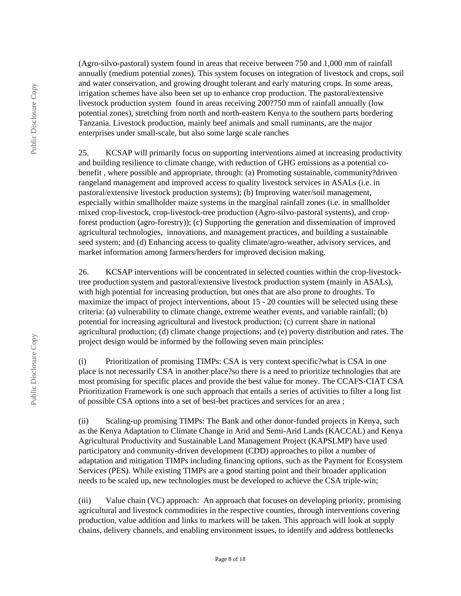(Agro-silvo-pastoral) system found in areas that receive between 750 and 1,000 mm of rainfall annually (medium potential zones). This system focuses on integration of livestock and crops, soil and water conservation, and growing drought tolerant and early maturing crops. In some areas, irrigation schemes have also been set up to enhance crop production. The pastoral/extensive livestock production system found in areas receiving 200?750 mm of rainfall annually (low potential zones), stretching from north and north-eastern Kenya to the southern parts bordering Tanzania. Livestock production, mainly beef animals and small ruminants, are the major enterprises under small-scale, but also some large scale ranches

25. KCSAP will primarily focus on supporting interventions aimed at increasing productivity and building resilience to climate change, with reduction of GHG emissions as a potential cobenefit , where possible and appropriate, through: (a) Promoting sustainable, community?driven rangeland management and improved access to quality livestock services in ASALs (i.e. in pastoral/extensive livestock production systems); (b) Improving water/soil management, especially within smallholder maize systems in the marginal rainfall zones (i.e. in smallholder mixed crop-livestock, crop-livestock-tree production (Agro-silvo-pastoral systems), and cropforest production (agro-forestry)); (c) Supporting the generation and dissemination of improved agricultural technologies, innovations, and management practices, and building a sustainable seed system; and (d) Enhancing access to quality climate/agro-weather, advisory services, and market information among farmers/herders for improved decision making.

26. KCSAP interventions will be concentrated in selected counties within the crop-livestocktree production system and pastoral/extensive livestock production system (mainly in ASALs), with high potential for increasing production, but ones that are also prone to droughts. To maximize the impact of project interventions, about 15 - 20 counties will be selected using these criteria: (a) vulnerability to climate change, extreme weather events, and variable rainfall; (b) potential for increasing agricultural and livestock production; (c) current share in national agricultural production; (d) climate change projections; and (e) poverty distribution and rates. The project design would be informed by the following seven main principles:

(i) Prioritization of promising TIMPs: CSA is very context specific?what is CSA in one place is not necessarily CSA in another place?so there is a need to prioritize technologies that are most promising for specific places and provide the best value for money. The CCAFS-CIAT CSA Prioritization Framework is one such approach that entails a series of activities to filter a long list of possible CSA options into a set of best-bet practices and services for an area ;

(ii) Scaling-up promising TIMPs: The Bank and other donor-funded projects in Kenya, such as the Kenya Adaptation to Climate Change in Arid and Semi-Arid Lands (KACCAL) and Kenya Agricultural Productivity and Sustainable Land Management Project (KAPSLMP) have used participatory and community-driven development (CDD) approaches to pilot a number of adaptation and mitigation TIMPs including financing options, such as the Payment for Ecosystem Services (PES). While existing TIMPs are a good starting point and their broader application needs to be scaled up, new technologies must be developed to achieve the CSA triple-win;

(iii) Value chain (VC) approach: An approach that focuses on developing priority, promising agricultural and livestock commodities in the respective counties, through interventions covering production, value addition and links to markets will be taken. This approach will look at supply chains, delivery channels, and enabling environment issues, to identify and address bottlenecks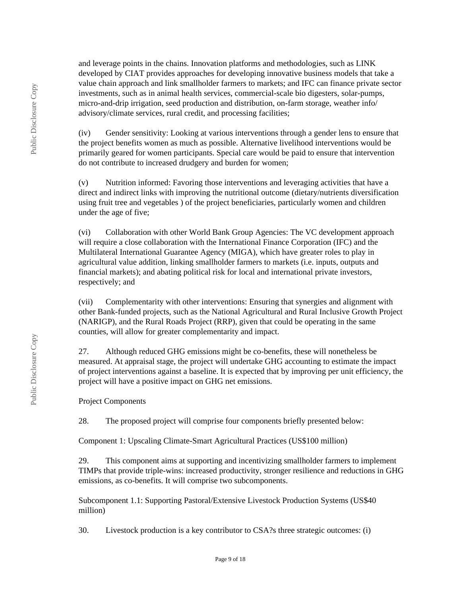and leverage points in the chains. Innovation platforms and methodologies, such as LINK developed by CIAT provides approaches for developing innovative business models that take a value chain approach and link smallholder farmers to markets; and IFC can finance private sector investments, such as in animal health services, commercial-scale bio digesters, solar-pumps, micro-and-drip irrigation, seed production and distribution, on-farm storage, weather info/ advisory/climate services, rural credit, and processing facilities;

(iv) Gender sensitivity: Looking at various interventions through a gender lens to ensure that the project benefits women as much as possible. Alternative livelihood interventions would be primarily geared for women participants. Special care would be paid to ensure that intervention do not contribute to increased drudgery and burden for women;

(v) Nutrition informed: Favoring those interventions and leveraging activities that have a direct and indirect links with improving the nutritional outcome (dietary/nutrients diversification using fruit tree and vegetables ) of the project beneficiaries, particularly women and children under the age of five;

(vi) Collaboration with other World Bank Group Agencies: The VC development approach will require a close collaboration with the International Finance Corporation (IFC) and the Multilateral International Guarantee Agency (MIGA), which have greater roles to play in agricultural value addition, linking smallholder farmers to markets (i.e. inputs, outputs and financial markets); and abating political risk for local and international private investors, respectively; and

(vii) Complementarity with other interventions: Ensuring that synergies and alignment with other Bank-funded projects, such as the National Agricultural and Rural Inclusive Growth Project (NARIGP), and the Rural Roads Project (RRP), given that could be operating in the same counties, will allow for greater complementarity and impact.

27. Although reduced GHG emissions might be co-benefits, these will nonetheless be measured. At appraisal stage, the project will undertake GHG accounting to estimate the impact of project interventions against a baseline. It is expected that by improving per unit efficiency, the project will have a positive impact on GHG net emissions.

Project Components

28. The proposed project will comprise four components briefly presented below:

Component 1: Upscaling Climate-Smart Agricultural Practices (US\$100 million)

29. This component aims at supporting and incentivizing smallholder farmers to implement TIMPs that provide triple-wins: increased productivity, stronger resilience and reductions in GHG emissions, as co-benefits. It will comprise two subcomponents.

Subcomponent 1.1: Supporting Pastoral/Extensive Livestock Production Systems (US\$40 million)

30. Livestock production is a key contributor to CSA?s three strategic outcomes: (i)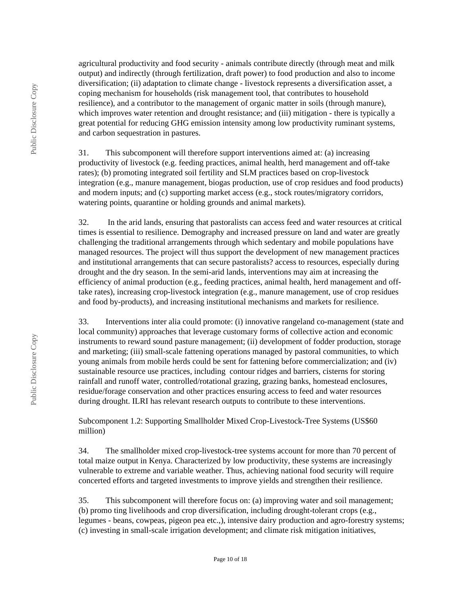agricultural productivity and food security - animals contribute directly (through meat and milk output) and indirectly (through fertilization, draft power) to food production and also to income diversification; (ii) adaptation to climate change - livestock represents a diversification asset, a coping mechanism for households (risk management tool, that contributes to household resilience), and a contributor to the management of organic matter in soils (through manure), which improves water retention and drought resistance; and (iii) mitigation - there is typically a great potential for reducing GHG emission intensity among low productivity ruminant systems, and carbon sequestration in pastures.

31. This subcomponent will therefore support interventions aimed at: (a) increasing productivity of livestock (e.g. feeding practices, animal health, herd management and off-take rates); (b) promoting integrated soil fertility and SLM practices based on crop-livestock integration (e.g., manure management, biogas production, use of crop residues and food products) and modern inputs; and (c) supporting market access (e.g., stock routes/migratory corridors, watering points, quarantine or holding grounds and animal markets).

32. In the arid lands, ensuring that pastoralists can access feed and water resources at critical times is essential to resilience. Demography and increased pressure on land and water are greatly challenging the traditional arrangements through which sedentary and mobile populations have managed resources. The project will thus support the development of new management practices and institutional arrangements that can secure pastoralists? access to resources, especially during drought and the dry season. In the semi-arid lands, interventions may aim at increasing the efficiency of animal production (e.g., feeding practices, animal health, herd management and offtake rates), increasing crop-livestock integration (e.g., manure management, use of crop residues and food by-products), and increasing institutional mechanisms and markets for resilience.

33. Interventions inter alia could promote: (i) innovative rangeland co-management (state and local community) approaches that leverage customary forms of collective action and economic instruments to reward sound pasture management; (ii) development of fodder production, storage and marketing; (iii) small-scale fattening operations managed by pastoral communities, to which young animals from mobile herds could be sent for fattening before commercialization; and (iv) sustainable resource use practices, including contour ridges and barriers, cisterns for storing rainfall and runoff water, controlled/rotational grazing, grazing banks, homestead enclosures, residue/forage conservation and other practices ensuring access to feed and water resources during drought. ILRI has relevant research outputs to contribute to these interventions.

Subcomponent 1.2: Supporting Smallholder Mixed Crop-Livestock-Tree Systems (US\$60 million)

34. The smallholder mixed crop-livestock-tree systems account for more than 70 percent of total maize output in Kenya. Characterized by low productivity, these systems are increasingly vulnerable to extreme and variable weather. Thus, achieving national food security will require concerted efforts and targeted investments to improve yields and strengthen their resilience.

35. This subcomponent will therefore focus on: (a) improving water and soil management; (b) promo ting livelihoods and crop diversification, including drought-tolerant crops (e.g., legumes - beans, cowpeas, pigeon pea etc.,), intensive dairy production and agro-forestry systems; (c) investing in small-scale irrigation development; and climate risk mitigation initiatives,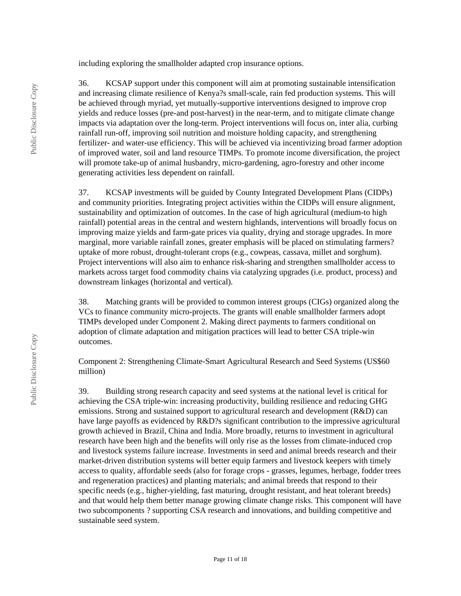including exploring the smallholder adapted crop insurance options.

36. KCSAP support under this component will aim at promoting sustainable intensification and increasing climate resilience of Kenya?s small-scale, rain fed production systems. This will be achieved through myriad, yet mutually-supportive interventions designed to improve crop yields and reduce losses (pre-and post-harvest) in the near-term, and to mitigate climate change impacts via adaptation over the long-term. Project interventions will focus on, inter alia, curbing rainfall run-off, improving soil nutrition and moisture holding capacity, and strengthening fertilizer- and water-use efficiency. This will be achieved via incentivizing broad farmer adoption of improved water, soil and land resource TIMPs. To promote income diversification, the project will promote take-up of animal husbandry, micro-gardening, agro-forestry and other income generating activities less dependent on rainfall.

37. KCSAP investments will be guided by County Integrated Development Plans (CIDPs) and community priorities. Integrating project activities within the CIDPs will ensure alignment, sustainability and optimization of outcomes. In the case of high agricultural (medium-to high rainfall) potential areas in the central and western highlands, interventions will broadly focus on improving maize yields and farm-gate prices via quality, drying and storage upgrades. In more marginal, more variable rainfall zones, greater emphasis will be placed on stimulating farmers? uptake of more robust, drought-tolerant crops (e.g., cowpeas, cassava, millet and sorghum). Project interventions will also aim to enhance risk-sharing and strengthen smallholder access to markets across target food commodity chains via catalyzing upgrades (i.e. product, process) and downstream linkages (horizontal and vertical).

38. Matching grants will be provided to common interest groups (CIGs) organized along the VCs to finance community micro-projects. The grants will enable smallholder farmers adopt TIMPs developed under Component 2. Making direct payments to farmers conditional on adoption of climate adaptation and mitigation practices will lead to better CSA triple-win outcomes.

Component 2: Strengthening Climate-Smart Agricultural Research and Seed Systems (US\$60 million)

39. Building strong research capacity and seed systems at the national level is critical for achieving the CSA triple-win: increasing productivity, building resilience and reducing GHG emissions. Strong and sustained support to agricultural research and development (R&D) can have large payoffs as evidenced by R&D?s significant contribution to the impressive agricultural growth achieved in Brazil, China and India. More broadly, returns to investment in agricultural research have been high and the benefits will only rise as the losses from climate-induced crop and livestock systems failure increase. Investments in seed and animal breeds research and their market-driven distribution systems will better equip farmers and livestock keepers with timely access to quality, affordable seeds (also for forage crops - grasses, legumes, herbage, fodder trees and regeneration practices) and planting materials; and animal breeds that respond to their specific needs (e.g., higher-yielding, fast maturing, drought resistant, and heat tolerant breeds) and that would help them better manage growing climate change risks. This component will have two subcomponents ? supporting CSA research and innovations, and building competitive and sustainable seed system.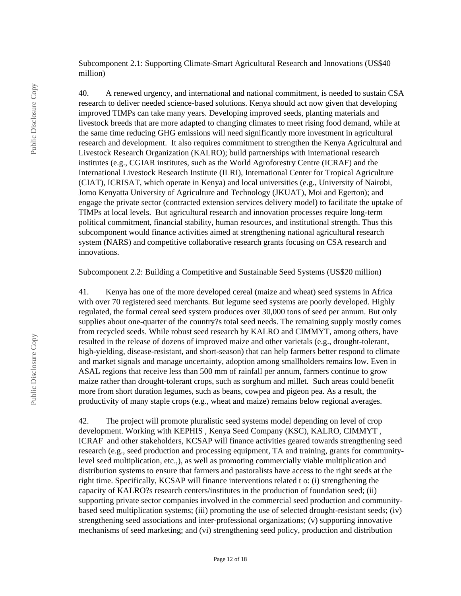Subcomponent 2.1: Supporting Climate-Smart Agricultural Research and Innovations (US\$40 million)

40. A renewed urgency, and international and national commitment, is needed to sustain CSA research to deliver needed science-based solutions. Kenya should act now given that developing improved TIMPs can take many years. Developing improved seeds, planting materials and livestock breeds that are more adapted to changing climates to meet rising food demand, while at the same time reducing GHG emissions will need significantly more investment in agricultural research and development. It also requires commitment to strengthen the Kenya Agricultural and Livestock Research Organization (KALRO); build partnerships with international research institutes (e.g., CGIAR institutes, such as the World Agroforestry Centre (ICRAF) and the International Livestock Research Institute (ILRI), International Center for Tropical Agriculture (CIAT), ICRISAT, which operate in Kenya) and local universities (e.g., University of Nairobi, Jomo Kenyatta University of Agriculture and Technology (JKUAT), Moi and Egerton); and engage the private sector (contracted extension services delivery model) to facilitate the uptake of TIMPs at local levels. But agricultural research and innovation processes require long-term political commitment, financial stability, human resources, and institutional strength. Thus this subcomponent would finance activities aimed at strengthening national agricultural research system (NARS) and competitive collaborative research grants focusing on CSA research and innovations.

Subcomponent 2.2: Building a Competitive and Sustainable Seed Systems (US\$20 million)

41. Kenya has one of the more developed cereal (maize and wheat) seed systems in Africa with over 70 registered seed merchants. But legume seed systems are poorly developed. Highly regulated, the formal cereal seed system produces over 30,000 tons of seed per annum. But only supplies about one-quarter of the country?s total seed needs. The remaining supply mostly comes from recycled seeds. While robust seed research by KALRO and CIMMYT, among others, have resulted in the release of dozens of improved maize and other varietals (e.g., drought-tolerant, high-yielding, disease-resistant, and short-season) that can help farmers better respond to climate and market signals and manage uncertainty, adoption among smallholders remains low. Even in ASAL regions that receive less than 500 mm of rainfall per annum, farmers continue to grow maize rather than drought-tolerant crops, such as sorghum and millet. Such areas could benefit more from short duration legumes, such as beans, cowpea and pigeon pea. As a result, the productivity of many staple crops (e.g., wheat and maize) remains below regional averages.

42. The project will promote pluralistic seed systems model depending on level of crop development. Working with KEPHIS , Kenya Seed Company (KSC), KALRO, CIMMYT , ICRAF and other stakeholders, KCSAP will finance activities geared towards strengthening seed research (e.g., seed production and processing equipment, TA and training, grants for communitylevel seed multiplication, etc.,), as well as promoting commercially viable multiplication and distribution systems to ensure that farmers and pastoralists have access to the right seeds at the right time. Specifically, KCSAP will finance interventions related t o: (i) strengthening the capacity of KALRO?s research centers/institutes in the production of foundation seed; (ii) supporting private sector companies involved in the commercial seed production and communitybased seed multiplication systems; (iii) promoting the use of selected drought-resistant seeds; (iv) strengthening seed associations and inter-professional organizations; (v) supporting innovative mechanisms of seed marketing; and (vi) strengthening seed policy, production and distribution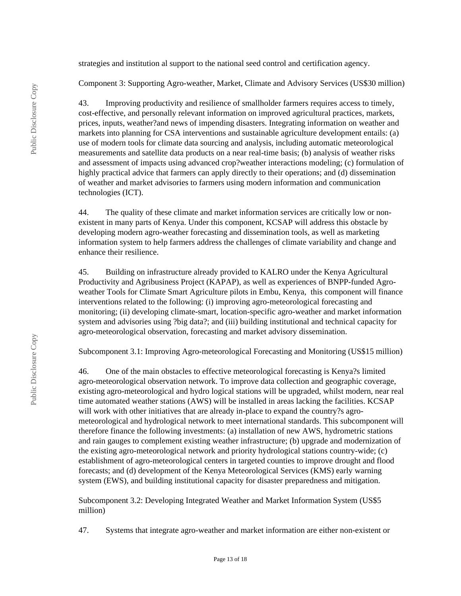strategies and institution al support to the national seed control and certification agency.

Component 3: Supporting Agro-weather, Market, Climate and Advisory Services (US\$30 million)

43. Improving productivity and resilience of smallholder farmers requires access to timely, cost-effective, and personally relevant information on improved agricultural practices, markets, prices, inputs, weather?and news of impending disasters. Integrating information on weather and markets into planning for CSA interventions and sustainable agriculture development entails: (a) use of modern tools for climate data sourcing and analysis, including automatic meteorological measurements and satellite data products on a near real-time basis; (b) analysis of weather risks and assessment of impacts using advanced crop?weather interactions modeling; (c) formulation of highly practical advice that farmers can apply directly to their operations; and (d) dissemination of weather and market advisories to farmers using modern information and communication technologies (ICT).

44. The quality of these climate and market information services are critically low or nonexistent in many parts of Kenya. Under this component, KCSAP will address this obstacle by developing modern agro-weather forecasting and dissemination tools, as well as marketing information system to help farmers address the challenges of climate variability and change and enhance their resilience.

45. Building on infrastructure already provided to KALRO under the Kenya Agricultural Productivity and Agribusiness Project (KAPAP), as well as experiences of BNPP-funded Agroweather Tools for Climate Smart Agriculture pilots in Embu, Kenya, this component will finance interventions related to the following: (i) improving agro-meteorological forecasting and monitoring; (ii) developing climate-smart, location-specific agro-weather and market information system and advisories using ?big data?; and (iii) building institutional and technical capacity for agro-meteorological observation, forecasting and market advisory dissemination.

Subcomponent 3.1: Improving Agro-meteorological Forecasting and Monitoring (US\$15 million)

46. One of the main obstacles to effective meteorological forecasting is Kenya?s limited agro-meteorological observation network. To improve data collection and geographic coverage, existing agro-meteorological and hydro logical stations will be upgraded, whilst modern, near real time automated weather stations (AWS) will be installed in areas lacking the facilities. KCSAP will work with other initiatives that are already in-place to expand the country?s agrometeorological and hydrological network to meet international standards. This subcomponent will therefore finance the following investments: (a) installation of new AWS, hydrometric stations and rain gauges to complement existing weather infrastructure; (b) upgrade and modernization of the existing agro-meteorological network and priority hydrological stations country-wide; (c) establishment of agro-meteorological centers in targeted counties to improve drought and flood forecasts; and (d) development of the Kenya Meteorological Services (KMS) early warning system (EWS), and building institutional capacity for disaster preparedness and mitigation.

Subcomponent 3.2: Developing Integrated Weather and Market Information System (US\$5 million)

47. Systems that integrate agro-weather and market information are either non-existent or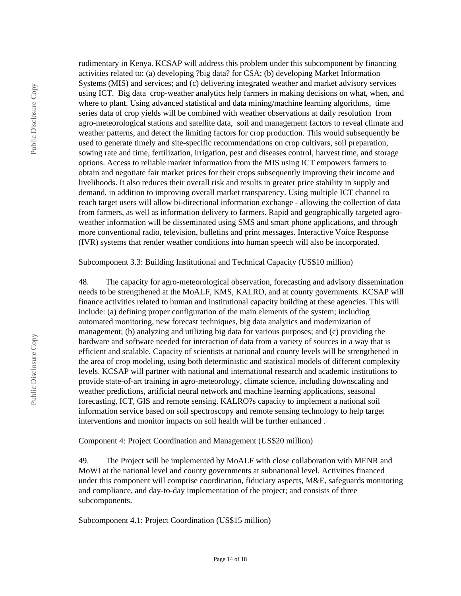Public Disclosure Copy Public Disclosure Copy Public Disclosure Copy

rudimentary in Kenya. KCSAP will address this problem under this subcomponent by financing activities related to: (a) developing ?big data? for CSA; (b) developing Market Information Systems (MIS) and services; and (c) delivering integrated weather and market advisory services using ICT. Big data crop-weather analytics help farmers in making decisions on what, when, and where to plant. Using advanced statistical and data mining/machine learning algorithms, time series data of crop yields will be combined with weather observations at daily resolution from agro-meteorological stations and satellite data, soil and management factors to reveal climate and weather patterns, and detect the limiting factors for crop production. This would subsequently be used to generate timely and site-specific recommendations on crop cultivars, soil preparation, sowing rate and time, fertilization, irrigation, pest and diseases control, harvest time, and storage options. Access to reliable market information from the MIS using ICT empowers farmers to obtain and negotiate fair market prices for their crops subsequently improving their income and livelihoods. It also reduces their overall risk and results in greater price stability in supply and demand, in addition to improving overall market transparency. Using multiple ICT channel to reach target users will allow bi-directional information exchange - allowing the collection of data from farmers, as well as information delivery to farmers. Rapid and geographically targeted agroweather information will be disseminated using SMS and smart phone applications, and through more conventional radio, television, bulletins and print messages. Interactive Voice Response (IVR) systems that render weather conditions into human speech will also be incorporated.

Subcomponent 3.3: Building Institutional and Technical Capacity (US\$10 million)

48. The capacity for agro-meteorological observation, forecasting and advisory dissemination needs to be strengthened at the MoALF, KMS, KALRO, and at county governments. KCSAP will finance activities related to human and institutional capacity building at these agencies. This will include: (a) defining proper configuration of the main elements of the system; including automated monitoring, new forecast techniques, big data analytics and modernization of management; (b) analyzing and utilizing big data for various purposes; and (c) providing the hardware and software needed for interaction of data from a variety of sources in a way that is efficient and scalable. Capacity of scientists at national and county levels will be strengthened in the area of crop modeling, using both deterministic and statistical models of different complexity levels. KCSAP will partner with national and international research and academic institutions to provide state-of-art training in agro-meteorology, climate science, including downscaling and weather predictions, artificial neural network and machine learning applications, seasonal forecasting, ICT, GIS and remote sensing. KALRO?s capacity to implement a national soil information service based on soil spectroscopy and remote sensing technology to help target interventions and monitor impacts on soil health will be further enhanced .

Component 4: Project Coordination and Management (US\$20 million)

49. The Project will be implemented by MoALF with close collaboration with MENR and MoWI at the national level and county governments at subnational level. Activities financed under this component will comprise coordination, fiduciary aspects, M&E, safeguards monitoring and compliance, and day-to-day implementation of the project; and consists of three subcomponents.

Subcomponent 4.1: Project Coordination (US\$15 million)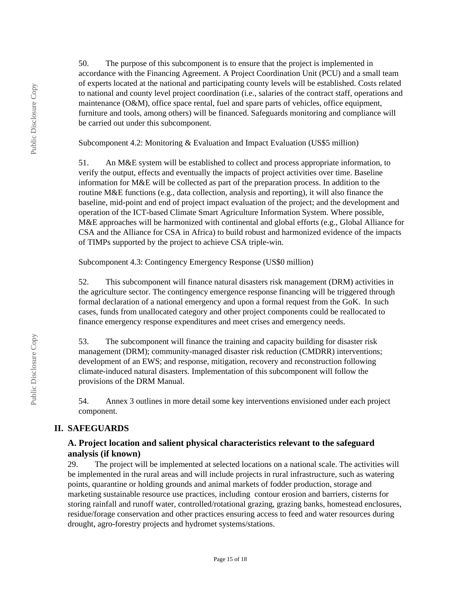50. The purpose of this subcomponent is to ensure that the project is implemented in accordance with the Financing Agreement. A Project Coordination Unit (PCU) and a small team of experts located at the national and participating county levels will be established. Costs related to national and county level project coordination (i.e., salaries of the contract staff, operations and maintenance (O&M), office space rental, fuel and spare parts of vehicles, office equipment, furniture and tools, among others) will be financed. Safeguards monitoring and compliance will be carried out under this subcomponent.

Subcomponent 4.2: Monitoring & Evaluation and Impact Evaluation (US\$5 million)

51. An M&E system will be established to collect and process appropriate information, to verify the output, effects and eventually the impacts of project activities over time. Baseline information for M&E will be collected as part of the preparation process. In addition to the routine M&E functions (e.g., data collection, analysis and reporting), it will also finance the baseline, mid-point and end of project impact evaluation of the project; and the development and operation of the ICT-based Climate Smart Agriculture Information System. Where possible, M&E approaches will be harmonized with continental and global efforts (e.g., Global Alliance for CSA and the Alliance for CSA in Africa) to build robust and harmonized evidence of the impacts of TIMPs supported by the project to achieve CSA triple-win.

Subcomponent 4.3: Contingency Emergency Response (US\$0 million)

52. This subcomponent will finance natural disasters risk management (DRM) activities in the agriculture sector. The contingency emergence response financing will be triggered through formal declaration of a national emergency and upon a formal request from the GoK. In such cases, funds from unallocated category and other project components could be reallocated to finance emergency response expenditures and meet crises and emergency needs.

53. The subcomponent will finance the training and capacity building for disaster risk management (DRM); community-managed disaster risk reduction (CMDRR) interventions; development of an EWS; and response, mitigation, recovery and reconstruction following climate-induced natural disasters. Implementation of this subcomponent will follow the provisions of the DRM Manual.

54. Annex 3 outlines in more detail some key interventions envisioned under each project component.

# **II. SAFEGUARDS**

## **A. Project location and salient physical characteristics relevant to the safeguard analysis (if known)**

29. The project will be implemented at selected locations on a national scale. The activities will be implemented in the rural areas and will include projects in rural infrastructure, such as watering points, quarantine or holding grounds and animal markets of fodder production, storage and marketing sustainable resource use practices, including contour erosion and barriers, cisterns for storing rainfall and runoff water, controlled/rotational grazing, grazing banks, homestead enclosures, residue/forage conservation and other practices ensuring access to feed and water resources during drought, agro-forestry projects and hydromet systems/stations.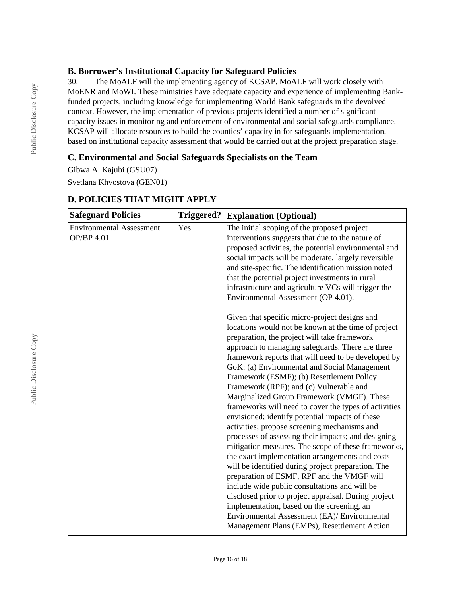## **B. Borrower's Institutional Capacity for Safeguard Policies**

30. The MoALF will the implementing agency of KCSAP. MoALF will work closely with MoENR and MoWI. These ministries have adequate capacity and experience of implementing Bankfunded projects, including knowledge for implementing World Bank safeguards in the devolved context. However, the implementation of previous projects identified a number of significant capacity issues in monitoring and enforcement of environmental and social safeguards compliance. KCSAP will allocate resources to build the counties' capacity in for safeguards implementation, based on institutional capacity assessment that would be carried out at the project preparation stage.

## **C. Environmental and Social Safeguards Specialists on the Team**

Gibwa A. Kajubi (GSU07) Svetlana Khvostova (GEN01)

| <b>Safeguard Policies</b>                            | <b>Triggered?</b> | <b>Explanation (Optional)</b>                                                                                                                                                                                                                                                                                                                                                                                                                                                                                                                                                                                                                                                                                                                                                                                                                                                                                                                                                                                                                 |
|------------------------------------------------------|-------------------|-----------------------------------------------------------------------------------------------------------------------------------------------------------------------------------------------------------------------------------------------------------------------------------------------------------------------------------------------------------------------------------------------------------------------------------------------------------------------------------------------------------------------------------------------------------------------------------------------------------------------------------------------------------------------------------------------------------------------------------------------------------------------------------------------------------------------------------------------------------------------------------------------------------------------------------------------------------------------------------------------------------------------------------------------|
| <b>Environmental Assessment</b><br><b>OP/BP 4.01</b> | Yes               | The initial scoping of the proposed project<br>interventions suggests that due to the nature of<br>proposed activities, the potential environmental and<br>social impacts will be moderate, largely reversible<br>and site-specific. The identification mission noted<br>that the potential project investments in rural<br>infrastructure and agriculture VCs will trigger the<br>Environmental Assessment (OP 4.01).                                                                                                                                                                                                                                                                                                                                                                                                                                                                                                                                                                                                                        |
|                                                      |                   | Given that specific micro-project designs and<br>locations would not be known at the time of project<br>preparation, the project will take framework<br>approach to managing safeguards. There are three<br>framework reports that will need to be developed by<br>GoK: (a) Environmental and Social Management<br>Framework (ESMF); (b) Resettlement Policy<br>Framework (RPF); and (c) Vulnerable and<br>Marginalized Group Framework (VMGF). These<br>frameworks will need to cover the types of activities<br>envisioned; identify potential impacts of these<br>activities; propose screening mechanisms and<br>processes of assessing their impacts; and designing<br>mitigation measures. The scope of these frameworks,<br>the exact implementation arrangements and costs<br>will be identified during project preparation. The<br>preparation of ESMF, RPF and the VMGF will<br>include wide public consultations and will be<br>disclosed prior to project appraisal. During project<br>implementation, based on the screening, an |
|                                                      |                   | Environmental Assessment (EA)/ Environmental<br>Management Plans (EMPs), Resettlement Action                                                                                                                                                                                                                                                                                                                                                                                                                                                                                                                                                                                                                                                                                                                                                                                                                                                                                                                                                  |

# **D. POLICIES THAT MIGHT APPLY**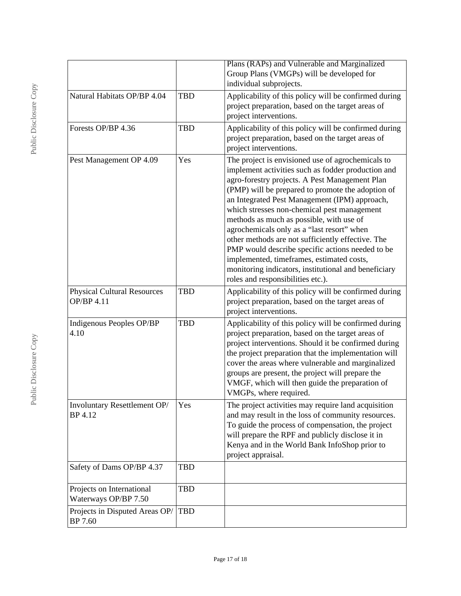|                                                   |            | Plans (RAPs) and Vulnerable and Marginalized<br>Group Plans (VMGPs) will be developed for<br>individual subprojects.                                                                                                                                                                                                                                                                                                                                                                                                                                                                                                                                        |
|---------------------------------------------------|------------|-------------------------------------------------------------------------------------------------------------------------------------------------------------------------------------------------------------------------------------------------------------------------------------------------------------------------------------------------------------------------------------------------------------------------------------------------------------------------------------------------------------------------------------------------------------------------------------------------------------------------------------------------------------|
| Natural Habitats OP/BP 4.04                       | <b>TBD</b> | Applicability of this policy will be confirmed during<br>project preparation, based on the target areas of<br>project interventions.                                                                                                                                                                                                                                                                                                                                                                                                                                                                                                                        |
| Forests OP/BP 4.36                                | <b>TBD</b> | Applicability of this policy will be confirmed during<br>project preparation, based on the target areas of<br>project interventions.                                                                                                                                                                                                                                                                                                                                                                                                                                                                                                                        |
| Pest Management OP 4.09                           | Yes        | The project is envisioned use of agrochemicals to<br>implement activities such as fodder production and<br>agro-forestry projects. A Pest Management Plan<br>(PMP) will be prepared to promote the adoption of<br>an Integrated Pest Management (IPM) approach,<br>which stresses non-chemical pest management<br>methods as much as possible, with use of<br>agrochemicals only as a "last resort" when<br>other methods are not sufficiently effective. The<br>PMP would describe specific actions needed to be<br>implemented, timeframes, estimated costs,<br>monitoring indicators, institutional and beneficiary<br>roles and responsibilities etc.). |
| <b>Physical Cultural Resources</b><br>OP/BP 4.11  | <b>TBD</b> | Applicability of this policy will be confirmed during<br>project preparation, based on the target areas of<br>project interventions.                                                                                                                                                                                                                                                                                                                                                                                                                                                                                                                        |
| Indigenous Peoples OP/BP<br>4.10                  | <b>TBD</b> | Applicability of this policy will be confirmed during<br>project preparation, based on the target areas of<br>project interventions. Should it be confirmed during<br>the project preparation that the implementation will<br>cover the areas where vulnerable and marginalized<br>groups are present, the project will prepare the<br>VMGF, which will then guide the preparation of<br>VMGPs, where required.                                                                                                                                                                                                                                             |
| Involuntary Resettlement OP/<br>BP 4.12           | Yes        | The project activities may require land acquisition<br>and may result in the loss of community resources.<br>To guide the process of compensation, the project<br>will prepare the RPF and publicly disclose it in<br>Kenya and in the World Bank InfoShop prior to<br>project appraisal.                                                                                                                                                                                                                                                                                                                                                                   |
| Safety of Dams OP/BP 4.37                         | <b>TBD</b> |                                                                                                                                                                                                                                                                                                                                                                                                                                                                                                                                                                                                                                                             |
| Projects on International<br>Waterways OP/BP 7.50 | <b>TBD</b> |                                                                                                                                                                                                                                                                                                                                                                                                                                                                                                                                                                                                                                                             |
| Projects in Disputed Areas OP/<br>BP 7.60         | <b>TBD</b> |                                                                                                                                                                                                                                                                                                                                                                                                                                                                                                                                                                                                                                                             |